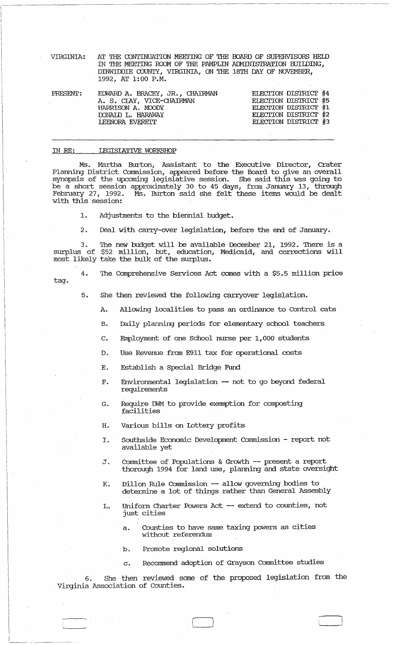| VIRGINIA: | AT THE CONTINUATION MEETING OF THE BOARD OF SUPERVISORS HELD |
|-----------|--------------------------------------------------------------|
|           | IN THE MEETING ROOM OF THE PAMPLIN ADMINISTRATION BUILDING,  |
|           | DINWIDDIE COUNTY, VIRGINIA, ON THE 18TH DAY OF NOVEMBER,     |
|           | 1992, AT 1:00 P.M.                                           |

| PRESENT: | EDWARD A. BRACEY, JR., CHAIRMAN | ELECTION DISTRICT #4 |
|----------|---------------------------------|----------------------|
|          | A. S. CLAY, VICE-CHAIRMAN       | ELECTION DISTRICT #5 |
|          | HARRISON A. MOODY               | ELECTION DISTRICT #1 |
|          | DONAID L. HARAWAY               | ELECTION DISTRICT #2 |
|          | LEENORA EVERETT                 | ELECTION DISTRICT #3 |
|          |                                 |                      |

## IN RE: LEGISLATIVE WORKSHOP

Ms. Martha Burton, Assistant to the Executive Director, Crater Planning District Commission, appeared before the Board to give an overall synopsis of the upcoming legislative session. She said this was going to be a short session approximately 30 to 45 days, from January 13, through February 27, 1992. Ms. Burton said she felt these items would be dealt Ms. Burton said she felt these items would be dealt with this session:

1. Adjustments to the biennial budget.

2. Deal with carry-over legislation, before the end of January.

3. The new budget will be available December 21, 1992. There is a surplus of \$52 million, but, education, Medicaid, and corrections will most likely take the bulk of the surplus.

tag.

The Comprehensive Services Act comes with a \$5.5 million price

5. She then reviewed the following carryover legislation.

- A. Allowing localities to pass an ordinance to Control cats
- B. Daily planning periods for elementary school teachers

C. Employment of one School nurse per 1,000 students

D. Use Revenue from E911 tax for operational costs

- E. Establish a Special Bridge Fund
- F. Environmental legislation -- not to go beyond federal requirements
- G. Require DWM to provide exemption for composting facilities
- H. Various bills on lottery profits
- I. Southside Economic Development commission report not available yet
- J. Committee of Populations & Growth -- present a report thorough 1994 for land use, planning and state oversight
- K. Dillon Rule Commission -- allow governing bodies to detennine a lot of things rather than General Assembly
- L. Unifonn Charter Powers Act -- extend to counties, not just cities
	- a. Counties to have same taxing powers as cities without referendum
	- b. Promote regional solutions

 $~\blacksquare~$ 

c. Recommend adoption of Grayson Committee studies

6. She then reviewed some of the proposed legislation. from the . Virginia Association of counties.